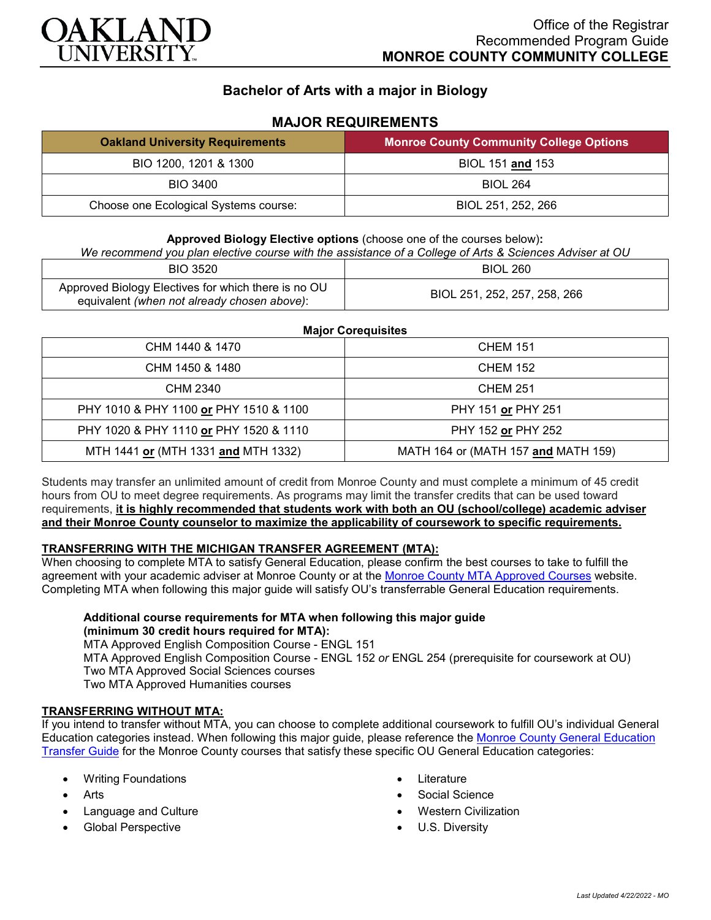

# **Bachelor of Arts with a major in Biology**

### **MAJOR REQUIREMENTS**

| <b>Oakland University Requirements</b> | <b>Monroe County Community College Options</b> |
|----------------------------------------|------------------------------------------------|
| BIO 1200, 1201 & 1300                  | BIOL 151 and 153                               |
| BIO 3400                               | <b>BIOL 264</b>                                |
| Choose one Ecological Systems course:  | BIOL 251, 252, 266                             |

**Approved Biology Elective options** (choose one of the courses below)**:**

#### *We recommend you plan elective course with the assistance of a College of Arts & Sciences Adviser at OU*

| <b>BIO 3520</b>                                                                                    | <b>BIOL 260</b>              |
|----------------------------------------------------------------------------------------------------|------------------------------|
| Approved Biology Electives for which there is no OU<br>equivalent (when not already chosen above): | BIOL 251, 252, 257, 258, 266 |

#### **Major Corequisites**

| CHM 1440 & 1470                        | <b>CHEM 151</b>                     |
|----------------------------------------|-------------------------------------|
| CHM 1450 & 1480                        | <b>CHEM 152</b>                     |
| CHM 2340                               | <b>CHEM 251</b>                     |
| PHY 1010 & PHY 1100 or PHY 1510 & 1100 | PHY 151 or PHY 251                  |
| PHY 1020 & PHY 1110 or PHY 1520 & 1110 | PHY 152 or PHY 252                  |
| MTH 1441 or (MTH 1331 and MTH 1332)    | MATH 164 or (MATH 157 and MATH 159) |

Students may transfer an unlimited amount of credit from Monroe County and must complete a minimum of 45 credit hours from OU to meet degree requirements. As programs may limit the transfer credits that can be used toward requirements, **it is highly recommended that students work with both an OU (school/college) academic adviser and their Monroe County counselor to maximize the applicability of coursework to specific requirements.**

#### **TRANSFERRING WITH THE MICHIGAN TRANSFER AGREEMENT (MTA):**

When choosing to complete MTA to satisfy General Education, please confirm the best courses to take to fulfill the agreement with your academic adviser at Monroe County or at the [Monroe County MTA Approved Courses](https://www.monroeccc.edu/transfer/michigan-transfer-agreement) website. Completing MTA when following this major guide will satisfy OU's transferrable General Education requirements.

## **Additional course requirements for MTA when following this major guide (minimum 30 credit hours required for MTA):**

MTA Approved English Composition Course - ENGL 151 MTA Approved English Composition Course - ENGL 152 *or* ENGL 254 (prerequisite for coursework at OU) Two MTA Approved Social Sciences courses Two MTA Approved Humanities courses

#### **TRANSFERRING WITHOUT MTA:**

If you intend to transfer without MTA, you can choose to complete additional coursework to fulfill OU's individual General Education categories instead. When following this major guide, please reference the [Monroe County General Education](https://www.oakland.edu/Assets/Oakland/program-guides/monroe-county-community-college/university-general-education-requirements/Monroe%20County%20Gen%20Ed.pdf)  [Transfer Guide](https://www.oakland.edu/Assets/Oakland/program-guides/monroe-county-community-college/university-general-education-requirements/Monroe%20County%20Gen%20Ed.pdf) for the Monroe County courses that satisfy these specific OU General Education categories:

- Writing Foundations
- **Arts**
- Language and Culture
- Global Perspective
- **Literature**
- Social Science
- Western Civilization
- U.S. Diversity